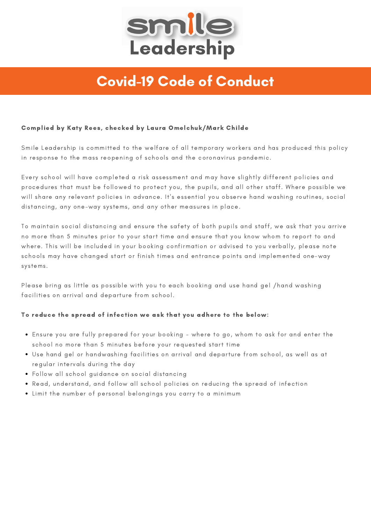

# Covid-19 Code of Conduct

### Complied by Katy Rees, checked by Laura Omelchuk/Mark Childe

Smile Leadership is committed to the welfare of all temporary workers and has produced this policy in response to the mass reopening of schools and the coronavirus pandemic.

Every school will have completed a risk assessment and may have slightly different policies and procedures that must be followed to protect you, the pupils, and all other staff. Where possible we will share any relevant policies in advance. It's essential you observe hand washing routines, social distancing, any one-way systems, and any other measures in place.

To maintain social distancing and ensure the safety of both pupils and staff, we ask that you arrive no more than 5 minutes prior to your start time and ensure that you know whom to report to and where. This will be included in your booking confirmation or advised to you verbally, please note schools may have changed start or finish times and entrance points and implemented one-way systems.

Please bring as little as possible with you to each booking and use hand gel /hand washing facilities on arrival and departure from school.

### To reduce the spread of infection we ask that you adhere to the below:

- Ensure you are fully prepared for your booking where to go, whom to ask for and enter the school no more than 5 minutes before your requested start time
- Use hand gel or handwashing facilities on arrival and departure from school, as well as at regular intervals during the day
- Follow all school guidance on social distancing
- Read, understand, and follow all school policies on reducing the spread of infection
- Limit the number of personal belongings you carry to a minimum